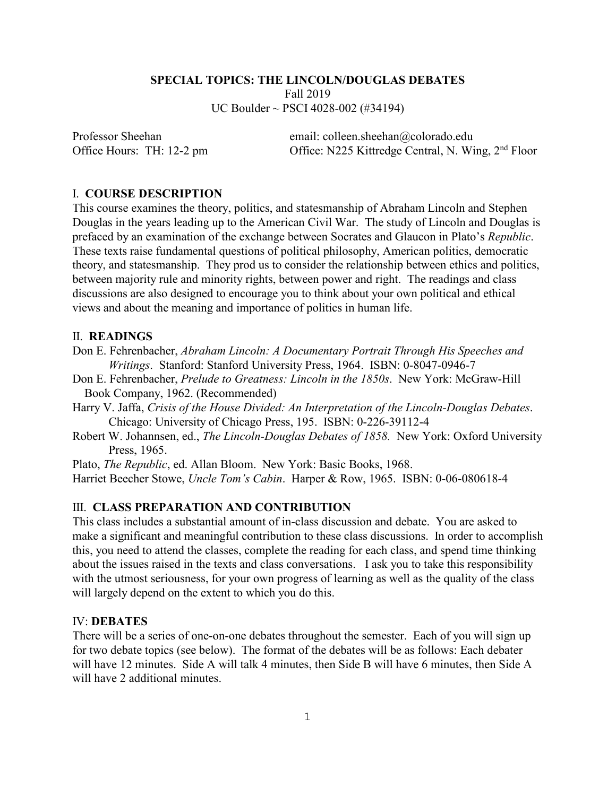#### **SPECIAL TOPICS: THE LINCOLN/DOUGLAS DEBATES**

Fall 2019 UC Boulder ~ PSCI 4028-002 (#34194)

Professor Sheehan email: colleen.sheehan@colorado.edu Office Hours: TH: 12-2 pm Office: N225 Kittredge Central, N. Wing, 2<sup>nd</sup> Floor

### I. **COURSE DESCRIPTION**

This course examines the theory, politics, and statesmanship of Abraham Lincoln and Stephen Douglas in the years leading up to the American Civil War. The study of Lincoln and Douglas is prefaced by an examination of the exchange between Socrates and Glaucon in Plato's *Republic*. These texts raise fundamental questions of political philosophy, American politics, democratic theory, and statesmanship. They prod us to consider the relationship between ethics and politics, between majority rule and minority rights, between power and right. The readings and class discussions are also designed to encourage you to think about your own political and ethical views and about the meaning and importance of politics in human life.

#### II. **READINGS**

- Don E. Fehrenbacher, *Abraham Lincoln: A Documentary Portrait Through His Speeches and Writings*. Stanford: Stanford University Press, 1964. ISBN: 0-8047-0946-7
- Don E. Fehrenbacher, *Prelude to Greatness: Lincoln in the 1850s*. New York: McGraw-Hill Book Company, 1962. (Recommended)
- Harry V. Jaffa, *Crisis of the House Divided: An Interpretation of the Lincoln-Douglas Debates*. Chicago: University of Chicago Press, 195. ISBN: 0-226-39112-4
- Robert W. Johannsen, ed., *The Lincoln-Douglas Debates of 1858.* New York: Oxford University Press, 1965.

Plato, *The Republic*, ed. Allan Bloom. New York: Basic Books, 1968.

Harriet Beecher Stowe, *Uncle Tom's Cabin*. Harper & Row, 1965. ISBN: 0-06-080618-4

### III. **CLASS PREPARATION AND CONTRIBUTION**

This class includes a substantial amount of in-class discussion and debate. You are asked to make a significant and meaningful contribution to these class discussions. In order to accomplish this, you need to attend the classes, complete the reading for each class, and spend time thinking about the issues raised in the texts and class conversations.I ask you to take this responsibility with the utmost seriousness, for your own progress of learning as well as the quality of the class will largely depend on the extent to which you do this.

### IV: **DEBATES**

There will be a series of one-on-one debates throughout the semester. Each of you will sign up for two debate topics (see below). The format of the debates will be as follows: Each debater will have 12 minutes. Side A will talk 4 minutes, then Side B will have 6 minutes, then Side A will have 2 additional minutes.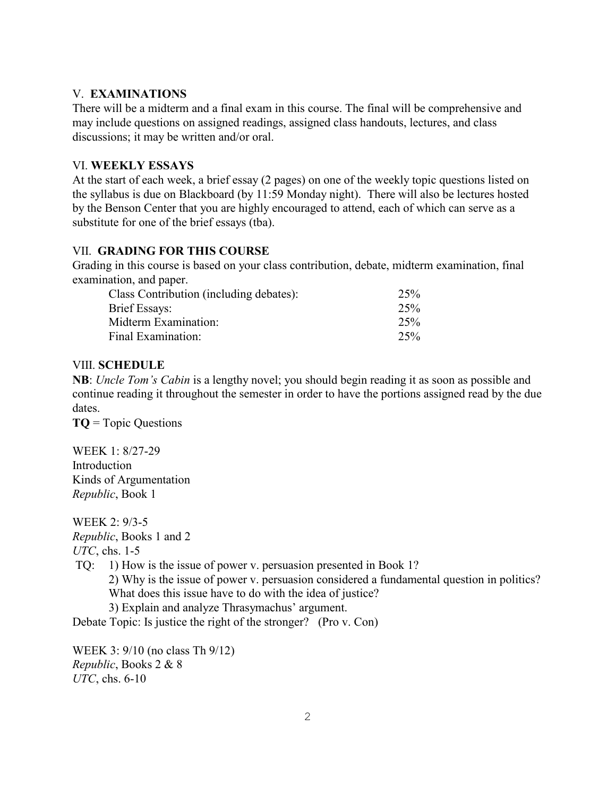# V. **EXAMINATIONS**

There will be a midterm and a final exam in this course. The final will be comprehensive and may include questions on assigned readings, assigned class handouts, lectures, and class discussions; it may be written and/or oral.

# VI. **WEEKLY ESSAYS**

At the start of each week, a brief essay (2 pages) on one of the weekly topic questions listed on the syllabus is due on Blackboard (by 11:59 Monday night). There will also be lectures hosted by the Benson Center that you are highly encouraged to attend, each of which can serve as a substitute for one of the brief essays (tba).

## VII. **GRADING FOR THIS COURSE**

Grading in this course is based on your class contribution, debate, midterm examination, final examination, and paper.

| Class Contribution (including debates):                     | 25%               |
|-------------------------------------------------------------|-------------------|
| Brief Essays:<br>Midterm Examination:<br>Final Examination: | 25%<br>25%<br>25% |

## VIII. **SCHEDULE**

**NB**: *Uncle Tom's Cabin* is a lengthy novel; you should begin reading it as soon as possible and continue reading it throughout the semester in order to have the portions assigned read by the due dates.

**TQ** = Topic Questions

WEEK 1: 8/27-29 Introduction Kinds of Argumentation *Republic*, Book 1

WEEK 2: 9/3-5 *Republic*, Books 1 and 2

*UTC*, chs. 1-5

TQ: 1) How is the issue of power v. persuasion presented in Book 1?

2) Why is the issue of power v. persuasion considered a fundamental question in politics? What does this issue have to do with the idea of justice?

3) Explain and analyze Thrasymachus' argument.

Debate Topic: Is justice the right of the stronger? (Pro v. Con)

WEEK 3: 9/10 (no class Th 9/12) *Republic*, Books 2 & 8 *UTC*, chs. 6-10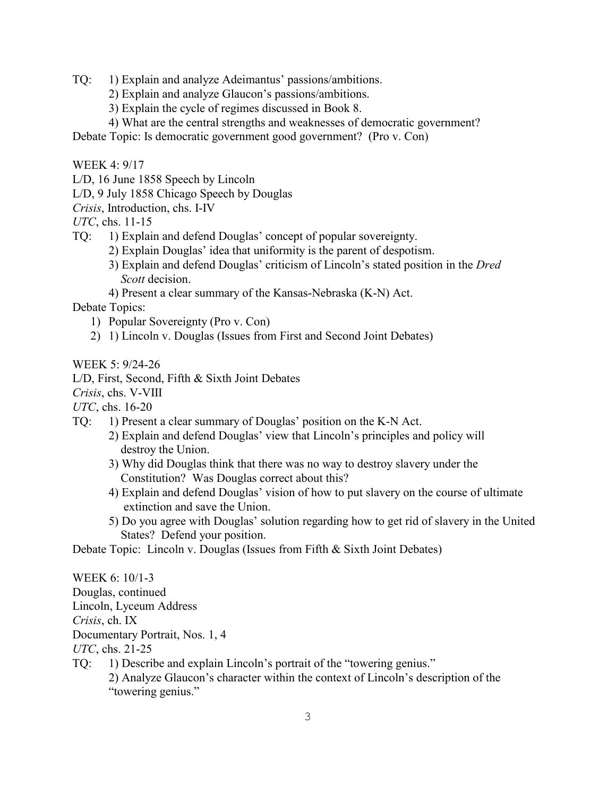- TQ: 1) Explain and analyze Adeimantus' passions/ambitions.
	- 2) Explain and analyze Glaucon's passions/ambitions.
	- 3) Explain the cycle of regimes discussed in Book 8.
	- 4) What are the central strengths and weaknesses of democratic government?

Debate Topic: Is democratic government good government? (Pro v. Con)

WEEK 4: 9/17

L/D, 16 June 1858 Speech by Lincoln

L/D, 9 July 1858 Chicago Speech by Douglas

*Crisis*, Introduction, chs. I-IV

*UTC*, chs. 11-15

- TQ: 1) Explain and defend Douglas' concept of popular sovereignty.
	- 2) Explain Douglas' idea that uniformity is the parent of despotism.
	- 3) Explain and defend Douglas' criticism of Lincoln's stated position in the *Dred Scott* decision.
	- 4) Present a clear summary of the Kansas-Nebraska (K-N) Act.

Debate Topics:

- 1) Popular Sovereignty (Pro v. Con)
- 2) 1) Lincoln v. Douglas (Issues from First and Second Joint Debates)

WEEK 5: 9/24-26

L/D, First, Second, Fifth & Sixth Joint Debates

*Crisis*, chs. V-VIII

- *UTC*, chs. 16-20
- TQ: 1) Present a clear summary of Douglas' position on the K-N Act.
	- 2) Explain and defend Douglas' view that Lincoln's principles and policy will destroy the Union.
	- 3) Why did Douglas think that there was no way to destroy slavery under the Constitution? Was Douglas correct about this?
	- 4) Explain and defend Douglas' vision of how to put slavery on the course of ultimate extinction and save the Union.
	- 5) Do you agree with Douglas' solution regarding how to get rid of slavery in the United States? Defend your position.

Debate Topic: Lincoln v. Douglas (Issues from Fifth & Sixth Joint Debates)

WEEK 6: 10/1-3 Douglas, continued Lincoln, Lyceum Address *Crisis*, ch. IX Documentary Portrait, Nos. 1, 4 *UTC*, chs. 21-25 TQ: 1) Describe and explain Lincoln's portrait of the "towering genius." 2) Analyze Glaucon's character within the context of Lincoln's description of the "towering genius."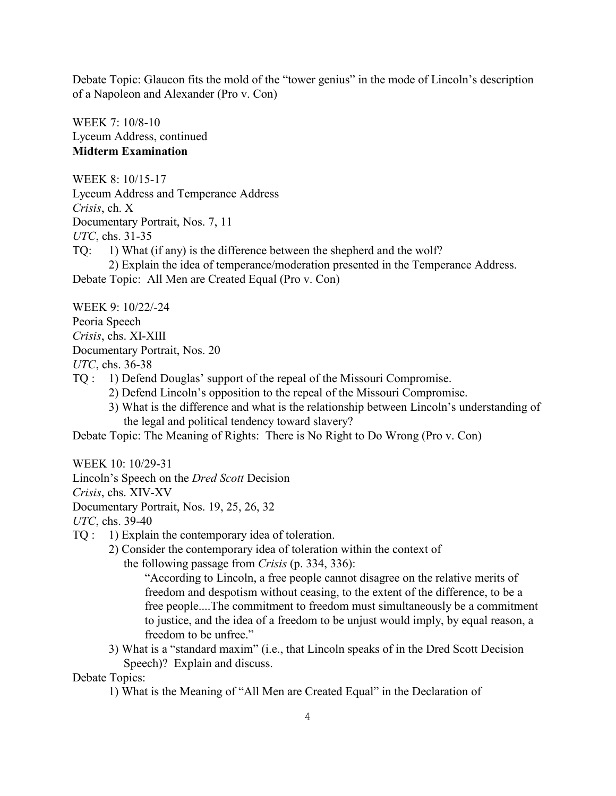Debate Topic: Glaucon fits the mold of the "tower genius" in the mode of Lincoln's description of a Napoleon and Alexander (Pro v. Con)

WEEK 7: 10/8-10 Lyceum Address, continued **Midterm Examination**

WEEK 8: 10/15-17 Lyceum Address and Temperance Address *Crisis*, ch. X Documentary Portrait, Nos. 7, 11 *UTC*, chs. 31-35 TQ: 1) What (if any) is the difference between the shepherd and the wolf? 2) Explain the idea of temperance/moderation presented in the Temperance Address.

Debate Topic: All Men are Created Equal (Pro v. Con)

WEEK 9: 10/22/-24

Peoria Speech

*Crisis*, chs. XI-XIII

Documentary Portrait, Nos. 20

*UTC*, chs. 36-38

- TQ : 1) Defend Douglas' support of the repeal of the Missouri Compromise.
	- 2) Defend Lincoln's opposition to the repeal of the Missouri Compromise.
	- 3) What is the difference and what is the relationship between Lincoln's understanding of the legal and political tendency toward slavery?

Debate Topic: The Meaning of Rights: There is No Right to Do Wrong (Pro v. Con)

WEEK 10: 10/29-31

Lincoln's Speech on the *Dred Scott* Decision

*Crisis*, chs. XIV-XV

Documentary Portrait, Nos. 19, 25, 26, 32

*UTC*, chs. 39-40

- TQ : 1) Explain the contemporary idea of toleration.
	- 2) Consider the contemporary idea of toleration within the context of the following passage from *Crisis* (p. 334, 336):

"According to Lincoln, a free people cannot disagree on the relative merits of freedom and despotism without ceasing, to the extent of the difference, to be a free people....The commitment to freedom must simultaneously be a commitment to justice, and the idea of a freedom to be unjust would imply, by equal reason, a freedom to be unfree."

3) What is a "standard maxim" (i.e., that Lincoln speaks of in the Dred Scott Decision Speech)? Explain and discuss.

Debate Topics:

1) What is the Meaning of "All Men are Created Equal" in the Declaration of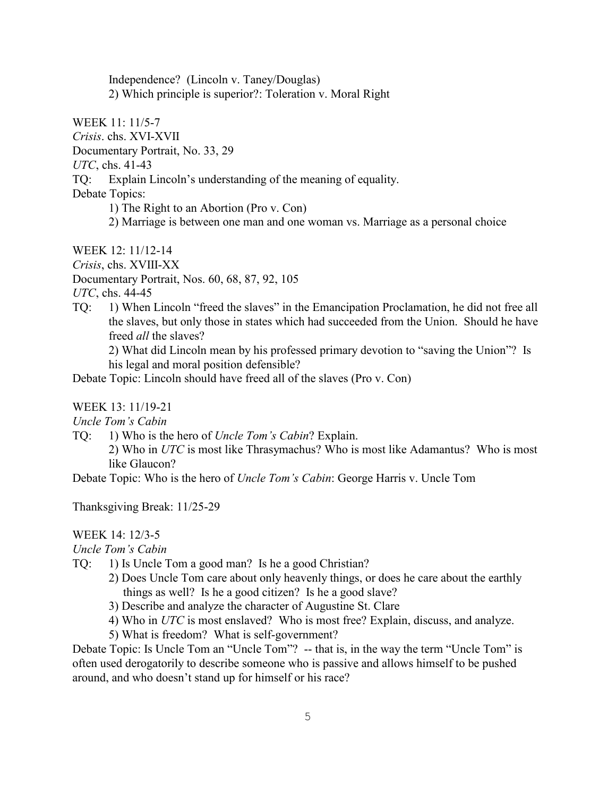Independence? (Lincoln v. Taney/Douglas) 2) Which principle is superior?: Toleration v. Moral Right

WEEK 11: 11/5-7

*Crisis*. chs. XVI-XVII

Documentary Portrait, No. 33, 29

*UTC*, chs. 41-43

TQ: Explain Lincoln's understanding of the meaning of equality.

Debate Topics:

1) The Right to an Abortion (Pro v. Con)

2) Marriage is between one man and one woman vs. Marriage as a personal choice

WEEK 12: 11/12-14

*Crisis*, chs. XVIII-XX

Documentary Portrait, Nos. 60, 68, 87, 92, 105

*UTC*, chs. 44-45

TQ: 1) When Lincoln "freed the slaves" in the Emancipation Proclamation, he did not free all the slaves, but only those in states which had succeeded from the Union. Should he have freed *all* the slaves?

2) What did Lincoln mean by his professed primary devotion to "saving the Union"? Is his legal and moral position defensible?

Debate Topic: Lincoln should have freed all of the slaves (Pro v. Con)

### WEEK 13: 11/19-21

*Uncle Tom's Cabin* 

TQ: 1) Who is the hero of *Uncle Tom's Cabin*? Explain.

2) Who in *UTC* is most like Thrasymachus? Who is most like Adamantus? Who is most like Glaucon?

Debate Topic: Who is the hero of *Uncle Tom's Cabin*: George Harris v. Uncle Tom

Thanksgiving Break: 11/25-29

# WEEK 14: 12/3-5

*Uncle Tom's Cabin* 

- TQ: 1) Is Uncle Tom a good man? Is he a good Christian?
	- 2) Does Uncle Tom care about only heavenly things, or does he care about the earthly things as well? Is he a good citizen? Is he a good slave?
	- 3) Describe and analyze the character of Augustine St. Clare
	- 4) Who in *UTC* is most enslaved? Who is most free? Explain, discuss, and analyze.
	- 5) What is freedom? What is self-government?

Debate Topic: Is Uncle Tom an "Uncle Tom"? -- that is, in the way the term "Uncle Tom" is often used derogatorily to describe someone who is passive and allows himself to be pushed around, and who doesn't stand up for himself or his race?